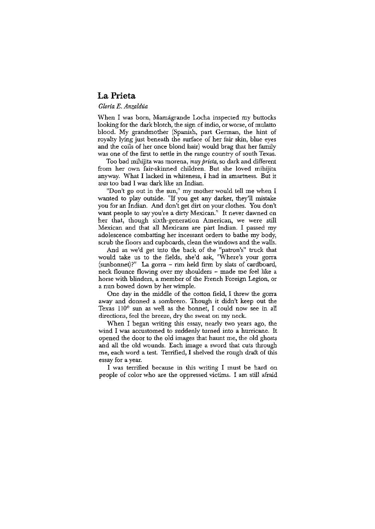# **La Prieta**

*Gloria E. Anzaldua* 

When I was born, Mamágrande Locha inspected my buttocks looking for the dark blotch, the sign of indio, or worse, of mulatto blood. My grandmother (Spanish, part German, the hint of royalty lying just beneath the surface of her fair skin, blue eyes and the coils of her once blond hair) would brag that her family was one of the first to settle in the range country of south Texas.

Too bad mihijita was morena, *muy prieta,* so dark and different from her own fair-skinned children. But she loved mihijita anyway. What I lacked in whiteness, I had in smartness. But it *was* too bad I was dark like an Indian.

"Don't go out in the sun," my mother would tell me when I wanted to play outside. "If you get any darker, they'll mistake you for an Indian. And don't get dirt on your clothes. You don't want people to say you're a dirty Mexican." It never dawned on her that, though sixth-generation American, we were still Mexican and that all Mexicans are part Indian. I passed my adolescence combatting her incessant orders to bathe my body, scrub the floors and cupboards, clean the windows and the walls.

And as we'd get into the back of the "patron's" truck that would take us to the fields, she'd ask, "Where's your gorra  $(sunbonnet)?$ " La gorra - rim held firm by slats of cardboard, neck flounce flowing over my shoulders - made me feel like a horse with blinders, a member of the French Foreign Legion, or a nun bowed down by her wimple.

One day in the middle of the cotton field, I threw the gorra away and donned a sombrero. Though it didn't keep out the Texas 110° sun as well as the bonnet, I could now see in all directions, feel the breeze, dry the sweat on my neck.

When I began writing this essay, nearly two years ago, the wind I was accustomed to suddenly turned into a hurricane. It opened the door to the old images that haunt me, the old ghosts and all the old wounds. Each image a sword that cuts through me, each word a test. Terrified, I shelved the rough draft of this essay for a year.

I was terrified because in this writing I must be hard on people of color who are the oppressed victims. I am still afraid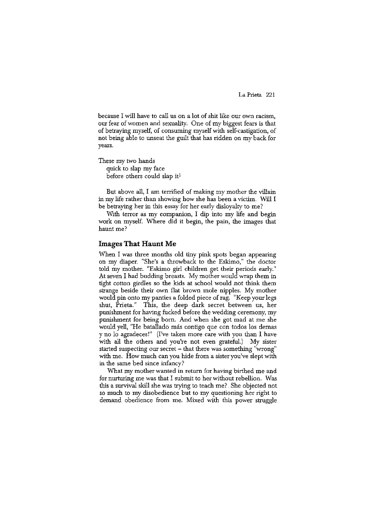because I will have to call us on a lot of shit like our own racism, our fear of women and sexuality. One of my biggest fears is that of betraying myself, of consuming myself with self-castigation, of not being able to unseat the guilt that has ridden on my back for years.

These my two hands quick to slap my face before others could slap it<sup>1</sup>

But above all, I am terrified of making my mother the villain in my life rather than showing how she has been a victim. Will I be betraying her in this essay for her early disloyalty to me?

With terror as my companion, I dip into my life and begin work on myself. Where did it begin, the pain, the images that haunt me?

## **Images That Haunt Me**

When I was three months old tiny pink spots began appearing on my diaper. "She's a throwback to the Eskimo," the doctor told my mother. "Eskimo girl children get their periods early." At seven I had budding breasts. My mother would wrap them in tight cotton girdles so the kids at school would not think them strange beside their own flat brown mole nipples. My mother would pin onto my panties a folded piece of rag. "Keep your legs shut, Prieta." This, the deep dark secret between us, her punishment for having fucked before the wedding ceremony, my punishment for being born. And when she got mad at me she would yell, "He batallado más contigo que con todos los demas y no lo agradeces!" (I've taken more care with you than I have with all the others and you're not even grateful.) My sister started suspecting our secret - that there was something "wrong" with me. How much can you hide from a sister you've slept with in the same bed since infancy?

What my mother wanted in return for having birthed me and for nurturing me was that I submit to her without rebellion. Was this a survival skill she was trying to teach me?. She objected not so much to my disobedience but to my questioning her right to demand obedience from me. Mixed with this power struggle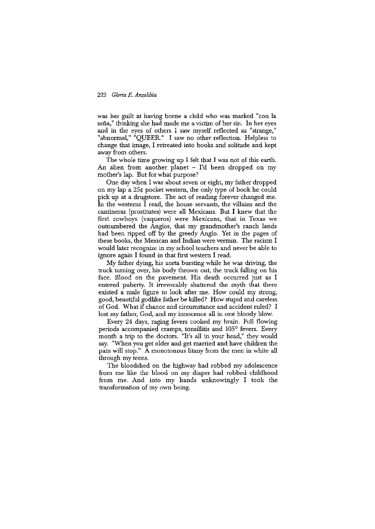was her guilt at having borne a child who was marked "con la seña," thinking she had made me a victim of her sin. In her eyes and in the eyes of others I saw myself reflected as "strange," "abnormal," "QUEER." I saw no other reflection. Helpless to change that image, I retreated into books and solitude and kept away from others.

The whole time growing up I felt that I was not of this earth. An alien from another planet - I'd been dropped on my mother's lap. But for what purpose?

One day when I was about seven or eight, my father dropped on my lap a 25¢ pocket western, the only type of book he could pick up at a drugstore. The act of reading forever changed me. In the westerns I read, the house servants, the villains and the cantineras (prostitutes) were all Mexicans. But I knew that the first cowboys (vaqueros) were Mexicans, that in Texas we outnumbered the Anglos, that my grandmother's ranch lands had been ripped off by the greedy Anglo. Yet in the pages of these books, the Mexican and Indian were vermin. The racism I would later recognize in my school teachers and never be able to ignore again I found in that first western I read.

My father dying, his aorta bursting while he was driving, the truck turning over, his body thrown out, the truck falling on his face. Blood on the pavement. His death occurred just as I entered puberty. It irrevocably shattered the myth that there existed a male figure to look after me. How could my strong, good, beautiful godlike father be killed? How stupid and careless of God. What if chance and circumstance and accident ruled? I lost my father, God, and my innocence all in one bloody blow.

Every 24 days, raging fevers cooked my brain. Full flowing periods accompanied cramps, tonsillitis and 105° fevers. Every month a trip to the doctors. "It's all in your head," they would say. "When you get older and get married and have children the pain will stop." A monotonous litany from the men in white all through my teens.

The bloodshed on the highway had robbed my adolescence from me like the blood on my diaper had robbed childhood from me. And into my hands unknowingly I took the transformation of my own being.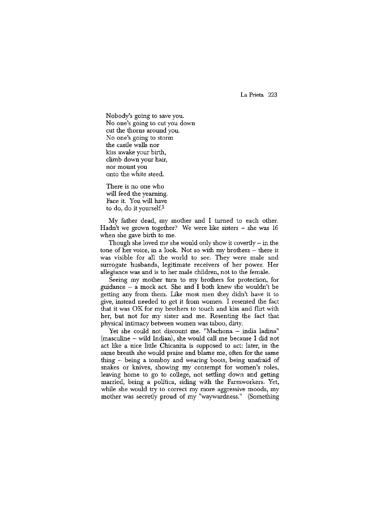Nobody's going to save you. No one's going to cut you down cut the thorns around you. No one's going to storm the castie walls nor kiss awake your birth, climb down your hair, nor mount you onto the white steed.

There is no one who will feed the yearning. Face it. You will have to do, do it yourself.<sup>2</sup>

My father dead, my mother and I turned to each other. Hadn't we grown together? We were like sisters — she was 16 when she gave birth to me.

Though she loved me she would only show it covertly  $-$  in the tone of her voice, in a look. Not so with my brothers — there it was visible for all the world to see. They were male and surrogate husbands, legitimate receivers of her power. Her allegiance was and is to her male children, not to the female.

Seeing my mother turn to my brothers for protection, for guidance  $-$  a mock act. She and I both knew she wouldn't be getting any from them. Like most men they didn't have it to give, instead needed to get it from women. I resented the fact that it was OK for my brothers to touch and kiss and flirt with her, but not for my sister and me. Resenting the fact that physical intimacy between women was taboo, dirty.

Yet she could not discount me. "Machona — india ladina" (masculine — wild Indian), she would call me because I did not act like a nice litde Chicanita is supposed to act: later, in the same breath she would praise and blame me, often for the same thing - being a tomboy and wearing boots, being unafraid of snakes or knives, showing my contempt for women's roles, leaving home to go to college, not settling down and getting married, being a politica, siding with the Farmworkers. Yet, while she would try to correct my more aggressive moods, my mother was secredy proud of my "waywardness." (Something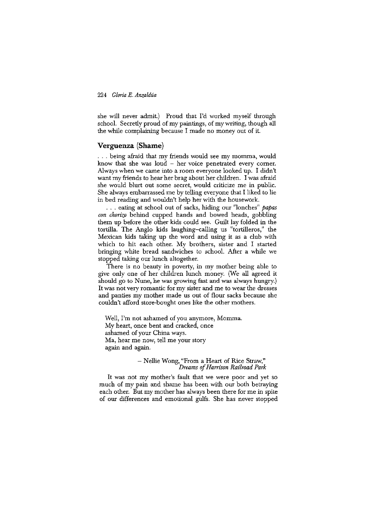she will never admit.) Proud that I'd worked myself through school. Secretiy proud of my paintings, of my writing, though all the while complaining because I made no money out of it

## **Verguenza (Shame)**

. . . being afraid that my friends would see my momma, would know that she was loud - her voice penetrated every corner. Always when we came into a room everyone looked up. I didn't want my friends to hear her brag about her children. I was afraid she would blurt out some secret, would criticize me in public. She always embarrassed me by telling everyone that I liked to lie in bed reading and wouldn't help her with the housework.

. . . eating at school out of sacks, hiding our "lonches" *papas con chorizo* behind cupped hands and bowed heads, gobbling them up before the other kids could see. Guilt lay folded in the tortilla. The Anglo kids laughing-calling us "tortilleros," the Mexican kids taking up the word and using it as a club with which to hit each other. My brothers, sister and I started bringing white bread sandwiches to school. After a while we stopped taking our lunch altogether.

There is no beauty in poverty, in my mother being able to give only one of her children lunch money. (We all agreed it should go to Nune, he was growing fast and was always hungry.) It was not very romantic for my sister and me to wear the dresses and panties my mother made us out of flour sacks because she couldn't afford store-bought ones like the other mothers.

Well, I'm not ashamed of you anymore, Momma. My heart, once bent and cracked, once ashamed of your China ways. Ma, hear me now, tell me your story again and again.

#### — Nellie Wong, "From a Heart of Rice Straw," *Dreams of Harrison Railroad Park*

It was not my mother's fault that we were poor and yet so much of my pain and shame has been with our both betraying each other. But my mother has always been there for me in spite of our differences and emotional gulfs. She has never stopped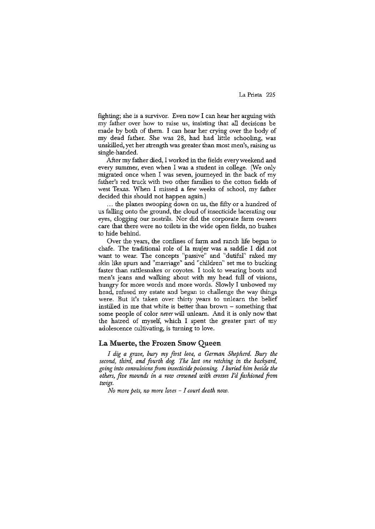fighting; she is a survivor. Even now I can hear her arguing with my father over how to raise us, insisting that all decisions be made by both of them. I can hear her crying over the body of my dead father. She was 28, had had little schooling, was unskilled, yet her strength was greater than most men's, raising us single-handed.

After my father died, I worked in the fields every weekend and every summer, even when I was a student in college. (We only migrated once when I was seven, journeyed in the back of my father's red truck with two other families to the cotton fields of west Texas. When I missed a few weeks of school, my father decided this should not happen again.)

... the planes swooping down on us, the fifty or a hundred of us falling onto the ground, the cloud of insecticide lacerating our eyes, clogging our nostrils. Nor did the corporate farm owners care that there were no toilets in the wide open fields, no bushes to hide behind.

Over the years, the confines of farm and ranch life began to chafe. The traditional role of la mujer was a saddle I did not want to wear. The concepts "passive" and "dutiful" raked my skin like spurs and "marriage" and "children" set me to bucking faster than rattlesnakes or coyotes. I took to wearing boots and men's jeans and walking about with my head full of visions, hungry for more words and more words. Slowly I unbowed my head, refused my estate and began to challenge the way things were. But it's taken over thirty years to unlearn the belief instilled in me that white is better than brown - something that some people of color *never* will unlearn. And it is only now that the hatred of myself, which I spent the greater part of my adolescence cultivating, is turning to love.

## **La Muerte, the Frozen Snow Queen**

*I dig a grave, bury my first love, a German Shepherd. Bury the second, third, and fourth dog. The last one retching in the backyard, going into convulsions from insecticide poisoning. I buried him beside the others, five mounds in a row crowned with crosses I'd fashioned from twigs.* 

*No more pets, no more loves - / court death now.*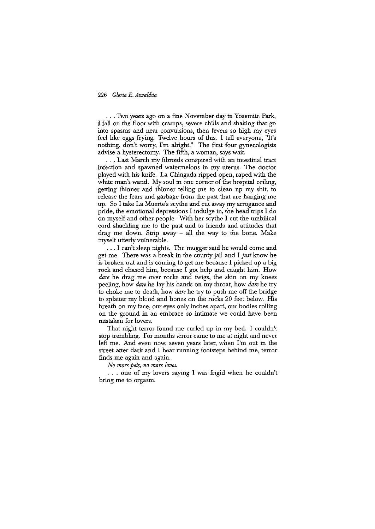. . . Two years ago on a fine November day in Yosemite Park, I fall on the floor with cramps, severe chills and shaking that go into spasms and near convulsions, then fevers so high my eyes feel like eggs frying. Twelve hours of this. I tell everyone, "It's nothing, don't worry, I'm alright." The first four gynecologists advise a hysterectomy. The fifth, a woman, says wait.

. . . Last March my fibroids conspired with an intestinal tract infection and spawned watermelons in my uterus. The doctor played with his knife. La Chingada ripped open, raped with the white man's wand. My soul in one corner of the hospital ceiling, getting thinner and thinner telling me to clean up my shit, to release the fears and garbage from the past that are hanging me up. So I take La Muerte's scythe and cut away my arrogance and pride, the emotional depressions I indulge in, the head trips I do on myself and other people. With her scythe I cut the umbilical cord shackling me to the past and to friends and attitudes that drag me down. Strip away - all the way to the bone. Make myself utterly vulnerable.

. . . I can't sleep nights. The mugger said he would come and get me. There was a break in the county jail and I *just* know he is broken out and is coming to get me because I picked up a big rock and chased him, because I got help and caught him. How *dare* he drag me over rocks and twigs, the skin on my knees peeling, how *dare* he lay his hands on my throat, how *dare* he try to choke me to death, how *dare* he try to push me off the bridge to splatter my blood and bones on the rocks 20 feet below. His breath on my face, our eyes only inches apart, our bodies rolling on the ground in an embrace so intimate we could have been mistaken for lovers.

That night terror found me curled up in my bed. I couldn't stop trembling. For months terror came to me at night and never left me. And even now, seven years later, when I'm out in the street after dark and I hear running footsteps behind me, terror finds me again and again.

*No more pets, no more loves.* 

. . . one of my lovers saying I was frigid when he couldn't bring me to orgasm.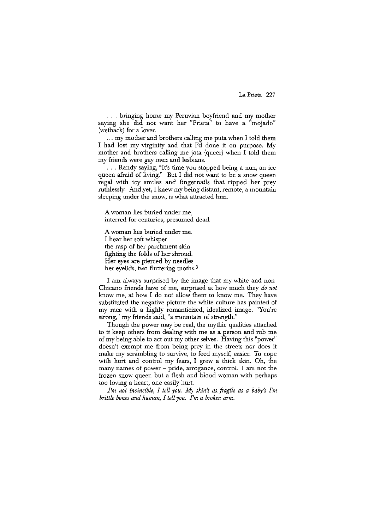. . . bringing home my Peruvian boyfriend and my mother saying she did not want her "Prieta" to have a "mojado" (wetback) for a lover.

... my mother and brothers calling me puta when I told them I had lost my virginity and that I'd done it on purpose. My mother and brothers calling me jota (queer) when I told them my friends were gay men and lesbians.

. . . Randy saying, "It's time you stopped being a nun, an ice queen afraid of living." But I did not want to be a snow queen regal with icy smiles and fingernails that ripped her prey ruthlessly. And yet, I knew my being distant, remote, a mountain sleeping under the snow, is what attracted him.

A woman lies buried under me, interred for centuries, presumed dead.

A woman lies buried under me. I hear her soft whisper the rasp of her parchment skin fighting the folds of her shroud. Her eyes are pierced by needles her eyelids, two fluttering moths.<sup>3</sup>

I am always surprised by the image that my white and non-Chicano friends have of me, surprised at how much they *do not*  know me, at how I do not allow them to know me. They have substituted the negative picture the white culture has painted of my race with a highly romanticized, idealized image. "You're strong," my friends said, "a mountain of strength."

Though the power may be real, the mythic qualities attached to it keep others from dealing with me as a person and rob me of my being able to act out my other selves. Having this "power" doesn't exempt me from being prey in the streets nor does it make my scrambling to survive, to feed myself, easier. To cope with hurt and control my fears, I grew a thick skin. Oh, the many names of power - pride, arrogance, control. I am not the frozen snow queen but a flesh and blood woman with perhaps too loving a heart, one easily hurt.

*I'm not invincible, I tell you. My skin's as fragile as a baby's I'm brittle bones and human, I tell you. I'm a broken arm.*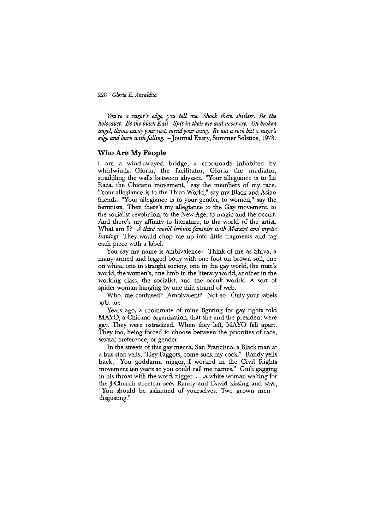*You're a razor's edge, you tell me. Shock them shitless. Be the holocaust. Be the black Kali. Spit in their eye and never cry. Oh broken angel, throw away your cast, mend your wing. Be not a rock but a razor's edge and burn with falling.* -Journal Entry, Summer Solstice, 1978.

## **Who Are My People**

I am a wind-swayed bridge, a crossroads inhabited by whirlwinds. Gloria, the facilitator, Gloria the mediator, straddling the walls between abysses. "Your allegiance is to La Raza, the Chicano movement," say the members of my race. "Your allegiance is to the Third World," say my Black and Asian friends. "Your allegiance is to your gender, to women," say the feminists. Then there's my allegiance to the Gay movement, to the socialist revolution, to the New Age, to magic and the occult. And there's my affinity to literature, to the world of the artist. What am I? *A third world lesbian feminist with Marxist and mystic leanings.* They would chop me up into little fragments and tag each piece with a label.

You say my name is ambivalence? Think of me as Shiva, a many-armed and legged body with one foot on brown soil, one on white, one in straight society, one in the gay world, the man's world, the women's, one limb in the literary world, another in the working class, the socialist, and the occult worlds. A sort of spider woman hanging by one thin strand of web.

Who, me confused? Ambivalent? Not so. Only your labels split me.

Years ago, a roommate of mine fighting for gay rights told MAYO, a Chicano organization, that she and the president were gay. They were ostracized. When they left, MAYO fell apart. They too, being forced to choose between the priorities of race, sexual preference, or gender.

In the streets of this gay mecca, San Francisco, a Black man at a bus stop yells, "Hey Faggots, come suck my cock." Randy yells back, "You goddamn nigger, I worked in the Civil Rights movement ten years so you could call me names." Guilt gagging in his throat with the word, nigger. . . .a white woman waiting for the J-Church streetcar sees Randy and David kissing and says, "You should be ashamed of yourselves. Two grown men disgusting."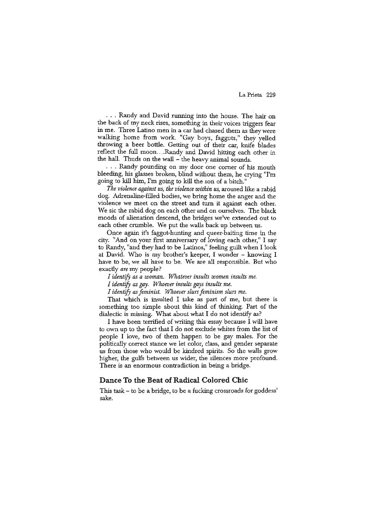. . . Randy and David running into the house. The hair on the back of my neck rises, something in their voices triggers fear in me. Three Latino men in a car had chased them as they were walking home from work. "Gay boys, faggots," they yelled throwing a beer bottle. Getting out of their car, knife blades reflect the full moon....Randy and David hitting each other in the hall. Thuds on the wall - the heavy animal sounds.

. . . Randy pounding on my door one corner of his mouth bleeding, his glasses broken, blind without them, he crying "I'm going to kill him, I'm going to kill the son of a bitch."

*The violence against us, the violence within us*, aroused like a rabid dog. Adrenaline-filled bodies, we bring home the anger and the violence we meet on the street and turn it against each other. We sic the rabid dog on each other and on ourselves. The black moods of alienation descend, the bridges we've extended out to each other crumble. We put the walls back up between us.

Once again it's faggot-hunting and queer-baiting time in the city. "And on your first anniversary of loving each other," I say to Randy, "and they had to be Latinos," feeling guilt when I look at David. Who is my brother's keeper, I wonder - knowing I have to be, we all have to be. We are all responsible. But who exactly *are* my people?

*I identify as a woman. Whatever insults women insults me. I identify as gay. Whoever insults gays insults me. I identify as feminist. Whoever slurs feminism slurs me.* 

That which is insulted I take as part of me, but there is something too simple about this kind of thinking. Part of the dialectic is missing. What about what I do not identify as?

I have been terrified of writing this essay because I will have to own up to the fact that I do not exclude whites from the list of people I love, two of them happen to be gay males. For the politically correct stance we let color, class, and gender separate us from those who would be kindred spirits. So the walls grow higher, the gulfs between us wider, the silences more profound. There is an enormous contradiction in being a bridge.

## **Dance To the Beat of Radical Colored Chic**

This task - to be a bridge, to be a fucking crossroads for goddess' sake.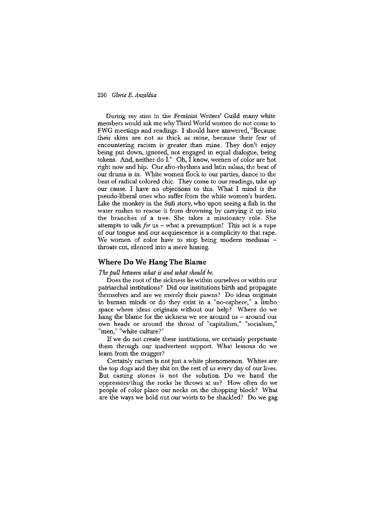During my stint in the Feminist Writers' Guild many white members would ask me why Third World women do not come to FWG meetings and readings. I should have answered, "Because their skins are not as thick as mine, because their fear of encountering racism is greater than mine. They don't enjoy being put down, ignored, not engaged in equal dialogue, being tokens. And, neither do I." Oh, I know, women of color are hot right now and hip. Our afro-rhythms and latin salsas, the beat of our drums is in. White women flock to our parties, dance to the beat of radical colored chic. They come to our readings, take up our cause. I have no objections to this. What I mind is the pseudo-liberal ones who suffer from the white women's burden. Like the monkey in the Sufi story, who upon seeing a fish in the water rushes to rescue it from drowning by carrying it up into the branches of a tree. She takes a missionary role. She attempts to talk for us  $-$  what a presumption! This act is a rape of our tongue and our acquiescence is a complicity to that rape. We women of color have to stop being modern medusas  $$ throats cut, silenced into a mere hissing.

## **Where Do We Hang The Blame**

*The pull between what is and what should be.* 

Does the root of the sickness lie within ourselves or within our patriarchal institutions? Did our institutions birth and propagate themselves and are we merely their pawns? Do ideas originate in human minds or do they exist in a "no-osphere," a limbo space where ideas originate without our help? Where do we hang the blame for the sickness we see around us - around our own heads or around the throat of "capitalism," "socialism," "men," "white culture?"

If we do not create these institutions, we certainly perpetuate them through our inadvertent support. What lessons do we learn from the mugger?

Certainly racism is not just a white phenomenon. Whites are the top dogs and they shit on the rest of us every day of our lives. But casting stones is not the solution. Do we hand the oppressors/thug the rocks he throws at us? How often do we people of color place our necks on the chopping block? What are the ways we hold out our wrists to be shackled? Do we gag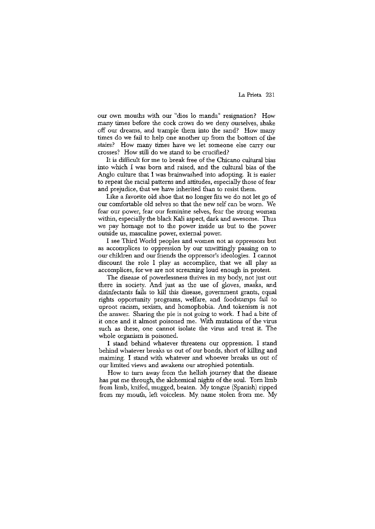our own mouths with our "dios lo manda" resignation? How many times before the cock crows do we deny ourselves, shake off our dreams, and trample them into the sand? How many times do we fail to help one another up from the bottom of the stairs? How many times have we let someone else carry our crosses? How still do we stand to be crucified?

It is difficult for me to break free of the Chicano cultural bias into which I was born and raised, and the cultural bias of the Anglo culture that I was brainwashed into adopting. It is easier to repeat the racial patterns and attitudes, especially those of fear and prejudice, that we have inherited than to resist them.

Like a favorite old shoe that no longer fits we do not let go of our comfortable old selves so that the new self can be worn. We fear our power, fear our feminine selves, fear the strong woman within, especially the black Kali aspect, dark and awesome. Thus we pay homage not to the power inside us but to the power outside us, masculine power, external power.

I see Third World peoples and women not as oppressors but as accomplices to oppression by our unwittingly passing on to our children and our friends the oppressor's ideologies. I cannot discount the role I play as accomplice, that we all play as accomplices, for we are not screaming loud enough in protest.

The disease of powerlessness thrives in my body, not just out there in society. And just as the use of gloves, masks, and disinfectants fails to kill this disease, government grants, equal rights opportunity programs, welfare, and foodstamps fail to uproot racism, sexism, and homophobia. And tokenism is not the answer. Sharing the pie is not going to work. I had a bite of it once and it almost poisoned me. With mutations of the virus such as these, one cannot isolate the virus and treat it. The whole organism is poisoned.

I stand behind whatever threatens our oppression. I stand behind whatever breaks us out of our bonds, short of killing and maiming. I stand with whatever and whoever breaks us out of our limited views and awakens our atrophied potentials.

How to turn away from the hellish journey that the disease has put me through, the alchemical nights of the soul. Torn limb from limb, knifed, mugged, beaten. My tongue (Spanish) ripped from my mouth, left voiceless. My name stolen from me. My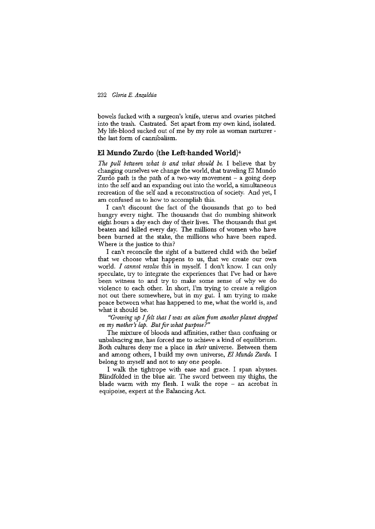bowels fucked with a surgeon's knife, uterus and ovaries pitched into the trash. Castrated. Set apart from my own kind, isolated. My life-blood sucked out of me by my role as woman nurturer the last form of cannibalism.

## **El Mundo Zurdo (the Left-handed World)4**

*The pull between what is and what should be.* I believe that by changing ourselves we change the world, that traveling El Mundo Zurdo path is the path of a two-way movement  $-$  a going deep into the self and an expanding out into the world, a simultaneous recreation of the self and a reconstruction of society. And yet, I am confused as to how to accomplish this.

I can't discount the fact of the thousands that go to bed hungry every night. The thousands that do numbing shitwork eight hours a day each day of their lives. The thousands that get beaten and killed every day. The millions of women who have been burned at the stake, the millions who have been raped. Where is the justice to this?

I can't reconcile the sight of a battered child with the belief that we choose what happens to us, that we create our own world. *I cannot resolve* this in myself. I don't know. I can only speculate, try to integrate the experiences that I've had or have been witness to and try to make some sense of why we do violence to each other. In short, I'm trying to create a religion not out there somewhere, but in my gut. I am trying to make peace between what has happened to me, what the world is, and what it should be.

*"Growing up I felt that I was an alien from another planet dropped on my mother's lap. But for what purpose?"* 

The mixture of bloods and affinities, rather than confusing or unbalancing me, has forced me to achieve a kind of equilibrium. Both cultures deny me a place in *their* universe. Between them and among others, I build my own universe, *El Mundo Zurdo.* I belong to myself and not to any one people.

I walk the tightrope with ease and grace. I span abysses. Blindfolded in the blue air. The sword between my thighs, the blade warm with my flesh. I walk the rope  $-$  an acrobat in equipoise, expert at the Balancing Act.